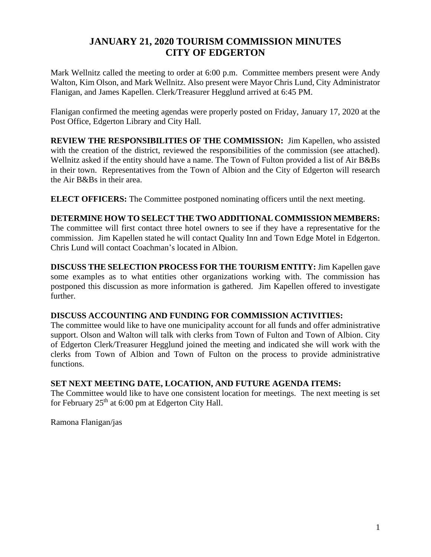## **JANUARY 21, 2020 TOURISM COMMISSION MINUTES CITY OF EDGERTON**

Mark Wellnitz called the meeting to order at 6:00 p.m. Committee members present were Andy Walton, Kim Olson, and Mark Wellnitz. Also present were Mayor Chris Lund, City Administrator Flanigan, and James Kapellen. Clerk/Treasurer Hegglund arrived at 6:45 PM.

Flanigan confirmed the meeting agendas were properly posted on Friday, January 17, 2020 at the Post Office, Edgerton Library and City Hall.

**REVIEW THE RESPONSIBILITIES OF THE COMMISSION:** Jim Kapellen, who assisted with the creation of the district, reviewed the responsibilities of the commission (see attached). Wellnitz asked if the entity should have a name. The Town of Fulton provided a list of Air B&Bs in their town. Representatives from the Town of Albion and the City of Edgerton will research the Air B&Bs in their area.

**ELECT OFFICERS:** The Committee postponed nominating officers until the next meeting.

### **DETERMINE HOW TO SELECT THE TWO ADDITIONAL COMMISSION MEMBERS:**

The committee will first contact three hotel owners to see if they have a representative for the commission. Jim Kapellen stated he will contact Quality Inn and Town Edge Motel in Edgerton. Chris Lund will contact Coachman's located in Albion.

**DISCUSS THE SELECTION PROCESS FOR THE TOURISM ENTITY:** Jim Kapellen gave some examples as to what entities other organizations working with. The commission has postponed this discussion as more information is gathered. Jim Kapellen offered to investigate further.

### **DISCUSS ACCOUNTING AND FUNDING FOR COMMISSION ACTIVITIES:**

The committee would like to have one municipality account for all funds and offer administrative support. Olson and Walton will talk with clerks from Town of Fulton and Town of Albion. City of Edgerton Clerk/Treasurer Hegglund joined the meeting and indicated she will work with the clerks from Town of Albion and Town of Fulton on the process to provide administrative functions.

### **SET NEXT MEETING DATE, LOCATION, AND FUTURE AGENDA ITEMS:**

The Committee would like to have one consistent location for meetings. The next meeting is set for February  $25<sup>th</sup>$  at 6:00 pm at Edgerton City Hall.

Ramona Flanigan/jas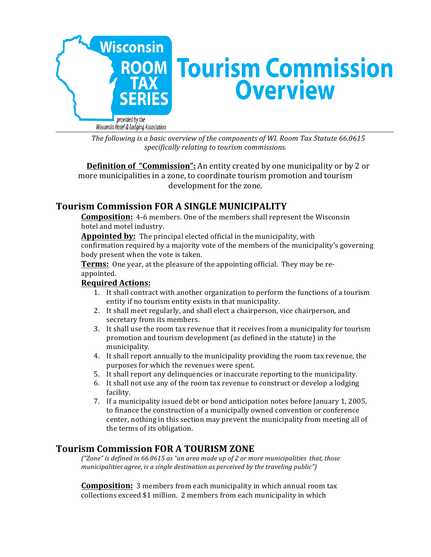

The following is a basic overview of the components of WI. Room Tax Statute 66.0615 *specifically relating to tourism commissions.*

**Definition of "Commission":** An entity created by one municipality or by 2 or more municipalities in a zone, to coordinate tourism promotion and tourism development for the zone.

# **Tourism Commission FOR A SINGLE MUNICIPALITY**

**Composition:** 4-6 members. One of the members shall represent the Wisconsin hotel and motel industry.

**Appointed by:** The principal elected official in the municipality, with confirmation required by a majority vote of the members of the municipality's governing body present when the vote is taken.

**Terms:** One year, at the pleasure of the appointing official. They may be reappointed.

### **Required Actions:**

- 1. It shall contract with another organization to perform the functions of a tourism entity if no tourism entity exists in that municipality.
- 2. It shall meet regularly, and shall elect a chairperson, vice chairperson, and secretary from its members.
- 3. It shall use the room tax revenue that it receives from a municipality for tourism promotion and tourism development (as defined in the statute) in the municipality.
- 4. It shall report annually to the municipality providing the room tax revenue, the purposes for which the revenues were spent.
- 5. It shall report any delinguencies or inaccurate reporting to the municipality.
- 6. It shall not use any of the room tax revenue to construct or develop a lodging facility.
- 7. If a municipality issued debt or bond anticipation notes before January 1, 2005, to finance the construction of a municipally owned convention or conference center, nothing in this section may prevent the municipality from meeting all of the terms of its obligation.

## **Tourism Commission FOR A TOURISM ZONE**

*("Zone"* is defined in 66.0615 as "an area made up of 2 or more municipalities that, those *municipalities agree, is a single destination as perceived by the traveling public"*)

**Composition:** 3 members from each municipality in which annual room tax collections exceed \$1 million. 2 members from each municipality in which